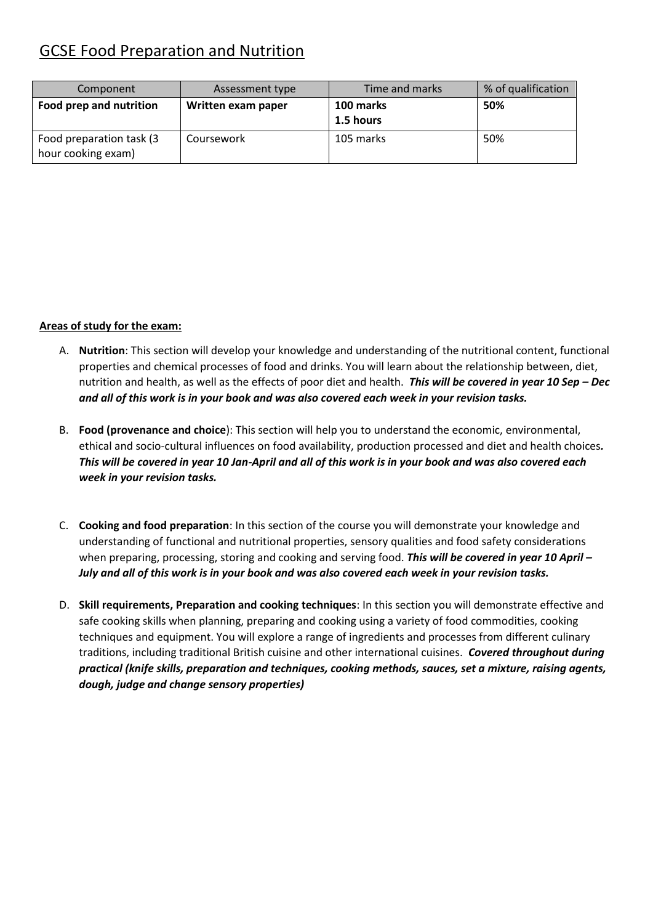## GCSE Food Preparation and Nutrition

| Component                                       | Assessment type    | Time and marks         | % of qualification |
|-------------------------------------------------|--------------------|------------------------|--------------------|
| Food prep and nutrition                         | Written exam paper | 100 marks<br>1.5 hours | 50%                |
| Food preparation task (3)<br>hour cooking exam) | Coursework         | 105 marks              | 50%                |

## **Areas of study for the exam:**

- A. **Nutrition**: This section will develop your knowledge and understanding of the nutritional content, functional properties and chemical processes of food and drinks. You will learn about the relationship between, diet, nutrition and health, as well as the effects of poor diet and health. *This will be covered in year 10 Sep – Dec and all of this work is in your book and was also covered each week in your revision tasks.*
- B. **Food (provenance and choice**): This section will help you to understand the economic, environmental, ethical and socio-cultural influences on food availability, production processed and diet and health choices*. This will be covered in year 10 Jan-April and all of this work is in your book and was also covered each week in your revision tasks.*
- C. **Cooking and food preparation**: In this section of the course you will demonstrate your knowledge and understanding of functional and nutritional properties, sensory qualities and food safety considerations when preparing, processing, storing and cooking and serving food. *This will be covered in year 10 April – July and all of this work is in your book and was also covered each week in your revision tasks.*
- D. **Skill requirements, Preparation and cooking techniques**: In this section you will demonstrate effective and safe cooking skills when planning, preparing and cooking using a variety of food commodities, cooking techniques and equipment. You will explore a range of ingredients and processes from different culinary traditions, including traditional British cuisine and other international cuisines. *Covered throughout during practical (knife skills, preparation and techniques, cooking methods, sauces, set a mixture, raising agents, dough, judge and change sensory properties)*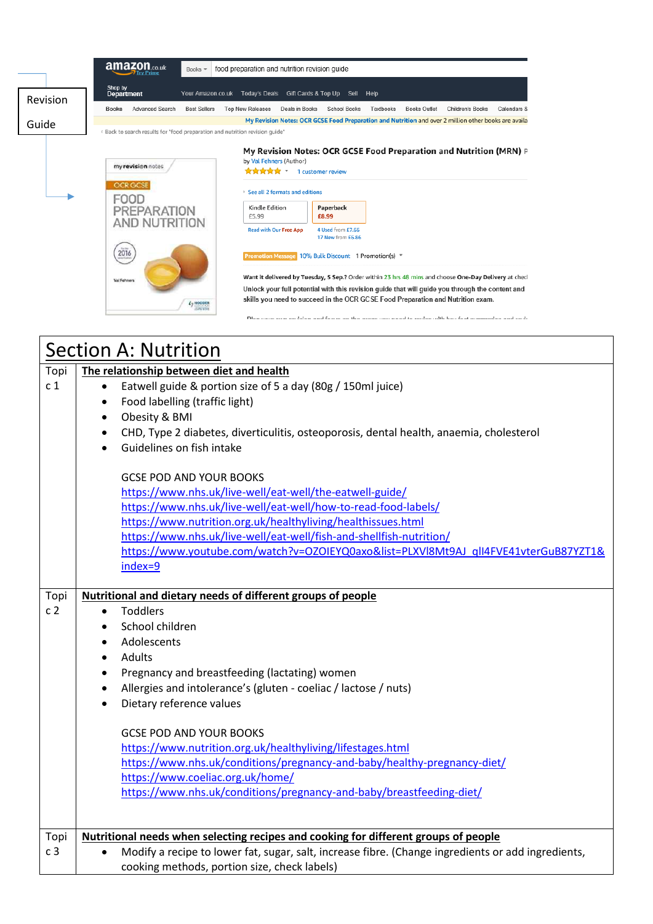|                 | <b>amazon</b> <sub>co.uk</sub><br>food preparation and nutrition revision quide<br>Books *                                                                                                                                                                                                                                                                                                                                                                                                                                                                                                                                                                                                                                                                                                 |
|-----------------|--------------------------------------------------------------------------------------------------------------------------------------------------------------------------------------------------------------------------------------------------------------------------------------------------------------------------------------------------------------------------------------------------------------------------------------------------------------------------------------------------------------------------------------------------------------------------------------------------------------------------------------------------------------------------------------------------------------------------------------------------------------------------------------------|
| <b>Revision</b> | Shop by<br>Today's Deals Gift Cards & Top Up Sell Help<br>Your Amazon.co.uk<br><b>Department</b>                                                                                                                                                                                                                                                                                                                                                                                                                                                                                                                                                                                                                                                                                           |
|                 | <b>Advanced Search</b><br><b>Top New Releases</b><br><b>Best Sellers</b><br>Deals in Books<br><b>School Books</b><br>Textbooks<br><b>Books Outlet</b><br><b>Children's Books</b><br><b>Books</b><br>Calendars &                                                                                                                                                                                                                                                                                                                                                                                                                                                                                                                                                                            |
| Guide           | My Revision Notes: OCR GCSE Food Preparation and Nutrition and over 2 million other books are availa                                                                                                                                                                                                                                                                                                                                                                                                                                                                                                                                                                                                                                                                                       |
|                 | <sup>«</sup> Back to search results for "food preparation and nutrition revision quide"                                                                                                                                                                                                                                                                                                                                                                                                                                                                                                                                                                                                                                                                                                    |
|                 | My Revision Notes: OCR GCSE Food Preparation and Nutrition (MRN) P<br>by Val Fehners (Author)<br>my revision notes<br><b>食食食食</b> 1 customer review<br><b>OCR GCSE</b><br>See all 2 formats and editions<br>FOOD<br>Kindle Edition<br>Paperback<br>PREPARATION<br>£5.99<br>£8.99<br>AND NUTRITION<br>4 Used from £7.66<br>Read with Our Free App<br>17 New from £6.86<br>Sarley<br>2016<br>Promotion Message 10% Bulk Discount 1 Promotion(s) *<br>Want it delivered by Tuesday, 5 Sep.? Order within 23 hrs 48 mins and choose One-Day Delivery at check<br>Val Fehners<br>Unlock your full potential with this revision quide that will quide you through the content and<br>skills you need to succeed in the OCR GCSE Food Preparation and Nutrition exam.<br>$47$ HODDER<br>Late when |

## Section A: Nutrition Topi c 1 **The relationship between diet and health** • Eatwell guide & portion size of 5 a day (80g / 150ml juice) • Food labelling (traffic light) • Obesity & BMI • CHD, Type 2 diabetes, diverticulitis, osteoporosis, dental health, anaemia, cholesterol • Guidelines on fish intake GCSE POD AND YOUR BOOKS <https://www.nhs.uk/live-well/eat-well/the-eatwell-guide/> <https://www.nhs.uk/live-well/eat-well/how-to-read-food-labels/> <https://www.nutrition.org.uk/healthyliving/healthissues.html> <https://www.nhs.uk/live-well/eat-well/fish-and-shellfish-nutrition/> [https://www.youtube.com/watch?v=OZOIEYQ0axo&list=PLXVl8Mt9AJ\\_qlI4FVE41vterGuB87YZT1&](https://www.youtube.com/watch?v=OZOIEYQ0axo&list=PLXVl8Mt9AJ_qlI4FVE41vterGuB87YZT1&index=9) [index=9](https://www.youtube.com/watch?v=OZOIEYQ0axo&list=PLXVl8Mt9AJ_qlI4FVE41vterGuB87YZT1&index=9) Topi c 2 **Nutritional and dietary needs of different groups of people Toddlers** • School children **Adolescents Adults** • Pregnancy and breastfeeding (lactating) women • Allergies and intolerance's (gluten - coeliac / lactose / nuts) • Dietary reference values GCSE POD AND YOUR BOOKS <https://www.nutrition.org.uk/healthyliving/lifestages.html> <https://www.nhs.uk/conditions/pregnancy-and-baby/healthy-pregnancy-diet/> <https://www.coeliac.org.uk/home/> <https://www.nhs.uk/conditions/pregnancy-and-baby/breastfeeding-diet/> Topi c 3 **Nutritional needs when selecting recipes and cooking for different groups of people** • Modify a recipe to lower fat, sugar, salt, increase fibre. (Change ingredients or add ingredients, cooking methods, portion size, check labels)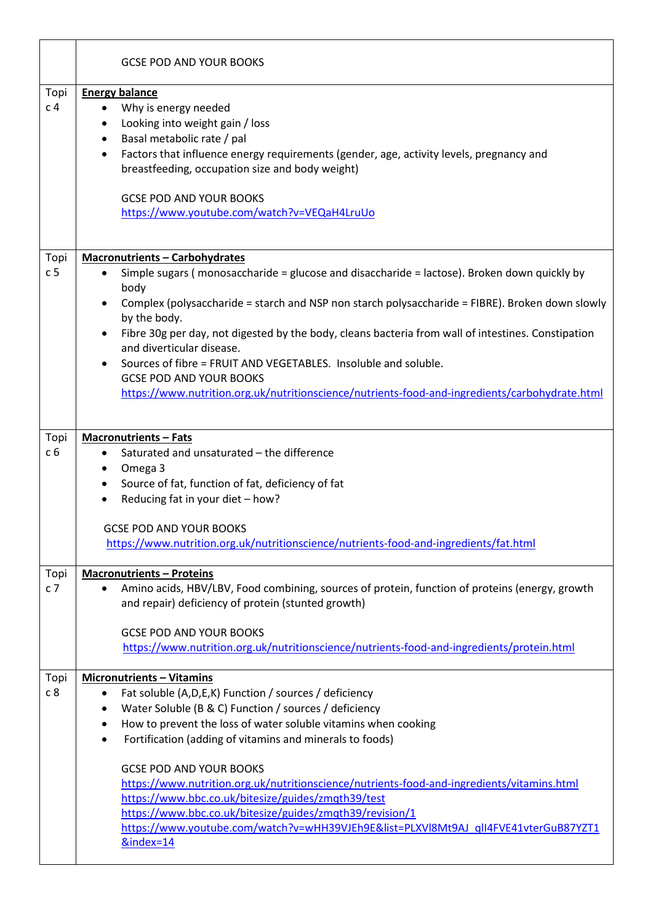|                        | <b>GCSE POD AND YOUR BOOKS</b>                                                                                                                                                                                                                                                                                                                                                                                                                                                                                                                                                                                                                                           |
|------------------------|--------------------------------------------------------------------------------------------------------------------------------------------------------------------------------------------------------------------------------------------------------------------------------------------------------------------------------------------------------------------------------------------------------------------------------------------------------------------------------------------------------------------------------------------------------------------------------------------------------------------------------------------------------------------------|
| Topi<br>c <sub>4</sub> | <b>Energy balance</b><br>Why is energy needed<br>$\bullet$<br>Looking into weight gain / loss<br>$\bullet$<br>Basal metabolic rate / pal<br>$\bullet$<br>Factors that influence energy requirements (gender, age, activity levels, pregnancy and<br>$\bullet$<br>breastfeeding, occupation size and body weight)<br><b>GCSE POD AND YOUR BOOKS</b><br>https://www.youtube.com/watch?v=VEQaH4LruUo                                                                                                                                                                                                                                                                        |
| Topi                   | <b>Macronutrients - Carbohydrates</b>                                                                                                                                                                                                                                                                                                                                                                                                                                                                                                                                                                                                                                    |
| c <sub>5</sub>         | Simple sugars (monosaccharide = glucose and disaccharide = lactose). Broken down quickly by<br>body<br>Complex (polysaccharide = starch and NSP non starch polysaccharide = FIBRE). Broken down slowly<br>$\bullet$<br>by the body.<br>Fibre 30g per day, not digested by the body, cleans bacteria from wall of intestines. Constipation<br>and diverticular disease.<br>Sources of fibre = FRUIT AND VEGETABLES. Insoluble and soluble.<br><b>GCSE POD AND YOUR BOOKS</b><br>https://www.nutrition.org.uk/nutritionscience/nutrients-food-and-ingredients/carbohydrate.html                                                                                            |
|                        |                                                                                                                                                                                                                                                                                                                                                                                                                                                                                                                                                                                                                                                                          |
| Topi<br>c <sub>6</sub> | <b>Macronutrients - Fats</b><br>Saturated and unsaturated - the difference<br>$\bullet$<br>Omega 3<br>$\bullet$<br>Source of fat, function of fat, deficiency of fat<br>$\bullet$<br>Reducing fat in your diet - how?<br><b>GCSE POD AND YOUR BOOKS</b><br>https://www.nutrition.org.uk/nutritionscience/nutrients-food-and-ingredients/fat.html                                                                                                                                                                                                                                                                                                                         |
| Topi<br>c <sub>7</sub> | <b>Macronutrients - Proteins</b><br>Amino acids, HBV/LBV, Food combining, sources of protein, function of proteins (energy, growth<br>$\bullet$<br>and repair) deficiency of protein (stunted growth)<br><b>GCSE POD AND YOUR BOOKS</b><br>https://www.nutrition.org.uk/nutritionscience/nutrients-food-and-ingredients/protein.html                                                                                                                                                                                                                                                                                                                                     |
| Topi<br>c <sub>8</sub> | <b>Micronutrients - Vitamins</b><br>Fat soluble (A, D, E, K) Function / sources / deficiency<br>$\bullet$<br>Water Soluble (B & C) Function / sources / deficiency<br>How to prevent the loss of water soluble vitamins when cooking<br>٠<br>Fortification (adding of vitamins and minerals to foods)<br>$\bullet$<br><b>GCSE POD AND YOUR BOOKS</b><br>https://www.nutrition.org.uk/nutritionscience/nutrients-food-and-ingredients/vitamins.html<br>https://www.bbc.co.uk/bitesize/guides/zmqth39/test<br>https://www.bbc.co.uk/bitesize/guides/zmqth39/revision/1<br>https://www.youtube.com/watch?v=wHH39VJEh9E&list=PLXVl8Mt9AJ_qlI4FVE41vterGuB87YZT1<br>&index=14 |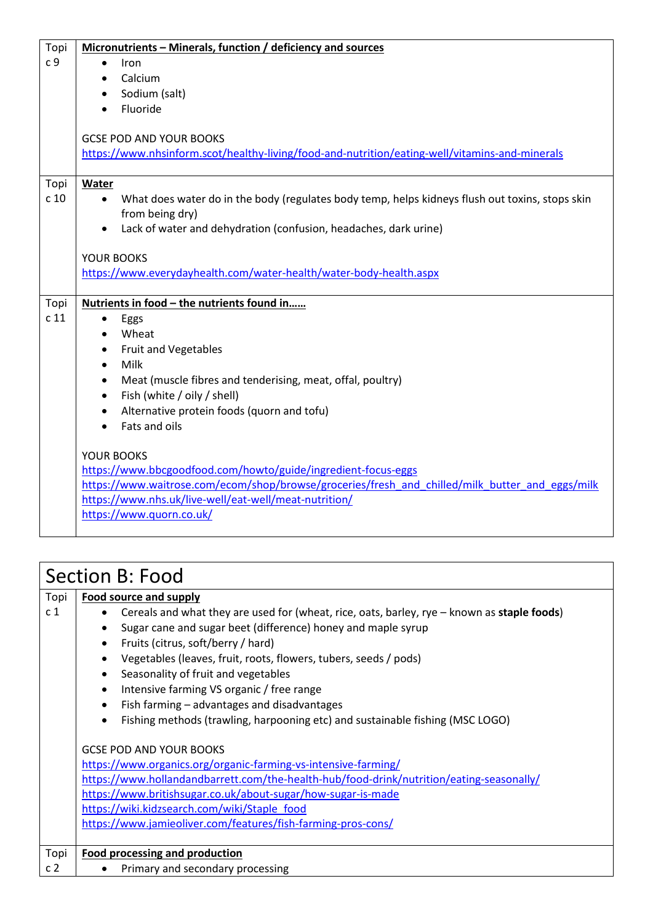| Topi            | Micronutrients – Minerals, function / deficiency and sources                                                 |
|-----------------|--------------------------------------------------------------------------------------------------------------|
| c 9             | Iron<br>$\bullet$                                                                                            |
|                 | Calcium<br>$\bullet$                                                                                         |
|                 | Sodium (salt)                                                                                                |
|                 | Fluoride                                                                                                     |
|                 |                                                                                                              |
|                 | <b>GCSE POD AND YOUR BOOKS</b>                                                                               |
|                 | https://www.nhsinform.scot/healthy-living/food-and-nutrition/eating-well/vitamins-and-minerals               |
| Topi            | <b>Water</b>                                                                                                 |
| c <sub>10</sub> | What does water do in the body (regulates body temp, helps kidneys flush out toxins, stops skin<br>$\bullet$ |
|                 | from being dry)                                                                                              |
|                 | Lack of water and dehydration (confusion, headaches, dark urine)<br>$\bullet$                                |
|                 | YOUR BOOKS                                                                                                   |
|                 | https://www.everydayhealth.com/water-health/water-body-health.aspx                                           |
|                 |                                                                                                              |
| Topi            | Nutrients in food - the nutrients found in                                                                   |
| c <sub>11</sub> | Eggs<br>$\bullet$                                                                                            |
|                 | Wheat<br>$\bullet$                                                                                           |
|                 | <b>Fruit and Vegetables</b>                                                                                  |
|                 | Milk<br>$\bullet$                                                                                            |
|                 | Meat (muscle fibres and tenderising, meat, offal, poultry)                                                   |
|                 | Fish (white / oily / shell)<br>$\bullet$                                                                     |
|                 | Alternative protein foods (quorn and tofu)<br>$\bullet$                                                      |
|                 | Fats and oils<br>$\bullet$                                                                                   |
|                 | YOUR BOOKS                                                                                                   |
|                 | https://www.bbcgoodfood.com/howto/guide/ingredient-focus-eggs                                                |
|                 | https://www.waitrose.com/ecom/shop/browse/groceries/fresh and chilled/milk butter and eggs/milk              |
|                 | https://www.nhs.uk/live-well/eat-well/meat-nutrition/                                                        |
|                 | https://www.quorn.co.uk/                                                                                     |
|                 |                                                                                                              |

|                | Section B: Food                                                                                                                                                                                                                                                                                                                                                                                                                                                                                                                                            |  |
|----------------|------------------------------------------------------------------------------------------------------------------------------------------------------------------------------------------------------------------------------------------------------------------------------------------------------------------------------------------------------------------------------------------------------------------------------------------------------------------------------------------------------------------------------------------------------------|--|
| Topi           | Food source and supply                                                                                                                                                                                                                                                                                                                                                                                                                                                                                                                                     |  |
| c <sub>1</sub> | Cereals and what they are used for (wheat, rice, oats, barley, rye - known as staple foods)<br>Sugar cane and sugar beet (difference) honey and maple syrup<br>Fruits (citrus, soft/berry / hard)<br>Vegetables (leaves, fruit, roots, flowers, tubers, seeds / pods)<br>$\bullet$<br>Seasonality of fruit and vegetables<br>$\bullet$<br>Intensive farming VS organic / free range<br>$\bullet$<br>Fish farming – advantages and disadvantages<br>$\bullet$<br>Fishing methods (trawling, harpooning etc) and sustainable fishing (MSC LOGO)<br>$\bullet$ |  |
|                | <b>GCSE POD AND YOUR BOOKS</b><br>https://www.organics.org/organic-farming-vs-intensive-farming/<br>https://www.hollandandbarrett.com/the-health-hub/food-drink/nutrition/eating-seasonally/<br>https://www.britishsugar.co.uk/about-sugar/how-sugar-is-made<br>https://wiki.kidzsearch.com/wiki/Staple food<br>https://www.jamieoliver.com/features/fish-farming-pros-cons/                                                                                                                                                                               |  |
| Topi           | <b>Food processing and production</b>                                                                                                                                                                                                                                                                                                                                                                                                                                                                                                                      |  |
| c <sub>2</sub> | Primary and secondary processing                                                                                                                                                                                                                                                                                                                                                                                                                                                                                                                           |  |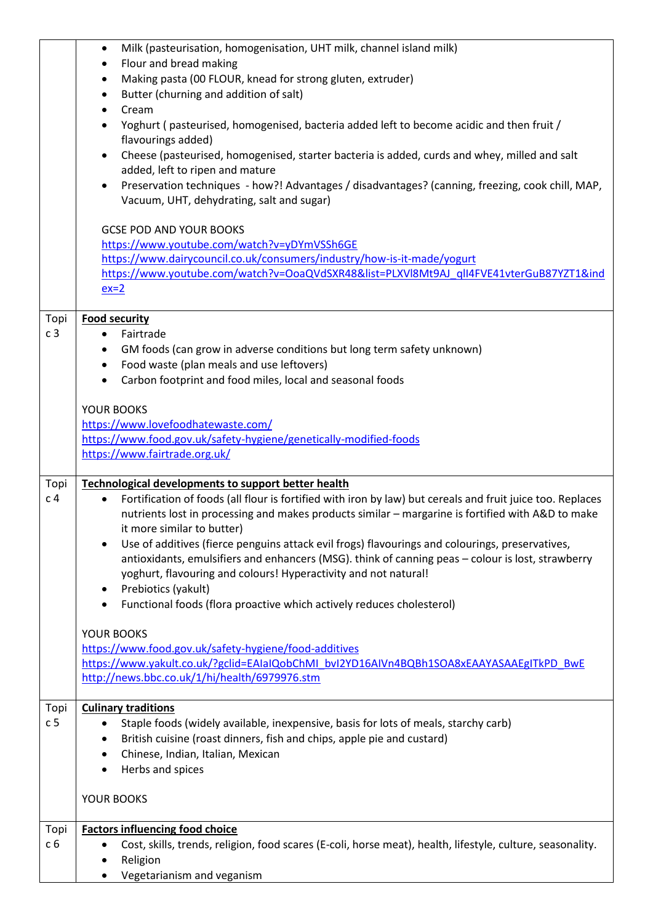|                        | Milk (pasteurisation, homogenisation, UHT milk, channel island milk)                                                                                                                                                                                          |
|------------------------|---------------------------------------------------------------------------------------------------------------------------------------------------------------------------------------------------------------------------------------------------------------|
|                        | Flour and bread making                                                                                                                                                                                                                                        |
|                        | Making pasta (00 FLOUR, knead for strong gluten, extruder)<br>$\bullet$                                                                                                                                                                                       |
|                        | Butter (churning and addition of salt)<br>٠<br>Cream<br>$\bullet$                                                                                                                                                                                             |
|                        | Yoghurt (pasteurised, homogenised, bacteria added left to become acidic and then fruit /<br>flavourings added)                                                                                                                                                |
|                        | Cheese (pasteurised, homogenised, starter bacteria is added, curds and whey, milled and salt<br>$\bullet$<br>added, left to ripen and mature                                                                                                                  |
|                        | Preservation techniques - how?! Advantages / disadvantages? (canning, freezing, cook chill, MAP,<br>$\bullet$<br>Vacuum, UHT, dehydrating, salt and sugar)                                                                                                    |
|                        | <b>GCSE POD AND YOUR BOOKS</b><br>https://www.youtube.com/watch?v=yDYmVSSh6GE<br>https://www.dairycouncil.co.uk/consumers/industry/how-is-it-made/yogurt<br>https://www.youtube.com/watch?v=OoaQVdSXR48&list=PLXVl8Mt9AJ_qlI4FVE41vterGuB87YZT1&ind<br>$ex=2$ |
| Topi                   | <b>Food security</b>                                                                                                                                                                                                                                          |
| c <sub>3</sub>         | Fairtrade                                                                                                                                                                                                                                                     |
|                        | GM foods (can grow in adverse conditions but long term safety unknown)                                                                                                                                                                                        |
|                        | Food waste (plan meals and use leftovers)<br>٠                                                                                                                                                                                                                |
|                        | Carbon footprint and food miles, local and seasonal foods<br>$\bullet$                                                                                                                                                                                        |
|                        | YOUR BOOKS                                                                                                                                                                                                                                                    |
|                        | https://www.lovefoodhatewaste.com/                                                                                                                                                                                                                            |
|                        | https://www.food.gov.uk/safety-hygiene/genetically-modified-foods                                                                                                                                                                                             |
|                        | https://www.fairtrade.org.uk/                                                                                                                                                                                                                                 |
|                        |                                                                                                                                                                                                                                                               |
| Topi                   | <b>Technological developments to support better health</b>                                                                                                                                                                                                    |
|                        |                                                                                                                                                                                                                                                               |
| c <sub>4</sub>         | Fortification of foods (all flour is fortified with iron by law) but cereals and fruit juice too. Replaces<br>$\bullet$<br>nutrients lost in processing and makes products similar - margarine is fortified with A&D to make                                  |
|                        | it more similar to butter)                                                                                                                                                                                                                                    |
|                        | Use of additives (fierce penguins attack evil frogs) flavourings and colourings, preservatives,<br>٠<br>antioxidants, emulsifiers and enhancers (MSG). think of canning peas - colour is lost, strawberry                                                     |
|                        | yoghurt, flavouring and colours! Hyperactivity and not natural!<br>Prebiotics (yakult)<br>٠                                                                                                                                                                   |
|                        | Functional foods (flora proactive which actively reduces cholesterol)<br>٠                                                                                                                                                                                    |
|                        |                                                                                                                                                                                                                                                               |
|                        | YOUR BOOKS                                                                                                                                                                                                                                                    |
|                        | https://www.food.gov.uk/safety-hygiene/food-additives                                                                                                                                                                                                         |
|                        | https://www.yakult.co.uk/?gclid=EAIaIQobChMI_bvI2YD16AIVn4BQBh1SOA8xEAAYASAAEgITkPD_BwE                                                                                                                                                                       |
|                        | http://news.bbc.co.uk/1/hi/health/6979976.stm                                                                                                                                                                                                                 |
| Topi                   | <b>Culinary traditions</b>                                                                                                                                                                                                                                    |
| c <sub>5</sub>         | Staple foods (widely available, inexpensive, basis for lots of meals, starchy carb)                                                                                                                                                                           |
|                        | British cuisine (roast dinners, fish and chips, apple pie and custard)                                                                                                                                                                                        |
|                        | Chinese, Indian, Italian, Mexican                                                                                                                                                                                                                             |
|                        | Herbs and spices<br>$\bullet$                                                                                                                                                                                                                                 |
|                        | YOUR BOOKS                                                                                                                                                                                                                                                    |
|                        | <b>Factors influencing food choice</b>                                                                                                                                                                                                                        |
| Topi<br>c <sub>6</sub> | Cost, skills, trends, religion, food scares (E-coli, horse meat), health, lifestyle, culture, seasonality.                                                                                                                                                    |
|                        | Religion                                                                                                                                                                                                                                                      |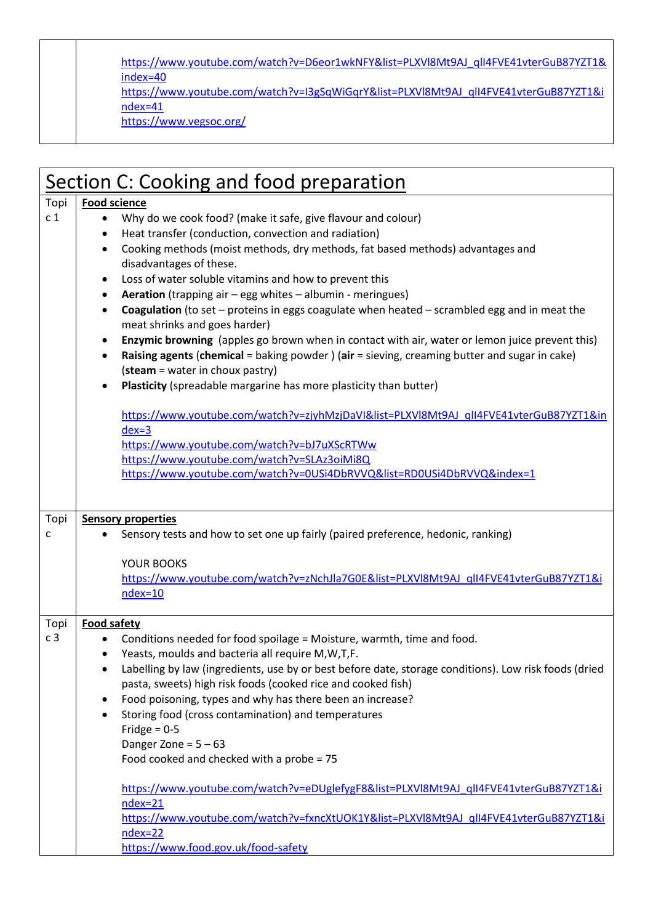[https://www.youtube.com/watch?v=D6eor1wkNFY&list=PLXVl8Mt9AJ\\_qlI4FVE41vterGuB87YZT1&](https://www.youtube.com/watch?v=D6eor1wkNFY&list=PLXVl8Mt9AJ_qlI4FVE41vterGuB87YZT1&index=40) [index=40](https://www.youtube.com/watch?v=D6eor1wkNFY&list=PLXVl8Mt9AJ_qlI4FVE41vterGuB87YZT1&index=40)

[https://www.youtube.com/watch?v=I3gSqWiGqrY&list=PLXVl8Mt9AJ\\_qlI4FVE41vterGuB87YZT1&i](https://www.youtube.com/watch?v=I3gSqWiGqrY&list=PLXVl8Mt9AJ_qlI4FVE41vterGuB87YZT1&index=41) [ndex=41](https://www.youtube.com/watch?v=I3gSqWiGqrY&list=PLXVl8Mt9AJ_qlI4FVE41vterGuB87YZT1&index=41)

<https://www.vegsoc.org/>

|                | Section C: Cooking and food preparation                                                                                                                               |
|----------------|-----------------------------------------------------------------------------------------------------------------------------------------------------------------------|
| Topi           | <b>Food science</b>                                                                                                                                                   |
| c <sub>1</sub> | Why do we cook food? (make it safe, give flavour and colour)                                                                                                          |
|                | Heat transfer (conduction, convection and radiation)<br>Cooking methods (moist methods, dry methods, fat based methods) advantages and<br>$\bullet$                   |
|                | disadvantages of these.                                                                                                                                               |
|                | Loss of water soluble vitamins and how to prevent this<br>$\bullet$                                                                                                   |
|                | Aeration (trapping air - egg whites - albumin - meringues)<br>٠                                                                                                       |
|                | <b>Coagulation</b> (to set - proteins in eggs coagulate when heated - scrambled egg and in meat the<br>$\bullet$<br>meat shrinks and goes harder)                     |
|                | Enzymic browning (apples go brown when in contact with air, water or lemon juice prevent this)<br>٠                                                                   |
|                | Raising agents (chemical = baking powder) (air = sieving, creaming butter and sugar in cake)<br>(steam = water in choux pastry)                                       |
|                | Plasticity (spreadable margarine has more plasticity than butter)                                                                                                     |
|                |                                                                                                                                                                       |
|                | https://www.youtube.com/watch?v=zjyhMzjDaVI&list=PLXVI8Mt9AJ_qlI4FVE41vterGuB87YZT1∈                                                                                  |
|                | $dex=3$                                                                                                                                                               |
|                | https://www.youtube.com/watch?v=bJ7uXScRTWw<br>https://www.youtube.com/watch?v=SLAz3oiMi8Q                                                                            |
|                | https://www.youtube.com/watch?v=0USi4DbRVVQ&list=RD0USi4DbRVVQ&index=1                                                                                                |
|                |                                                                                                                                                                       |
|                |                                                                                                                                                                       |
| Topi<br>C      | <b>Sensory properties</b><br>Sensory tests and how to set one up fairly (paired preference, hedonic, ranking)                                                         |
|                |                                                                                                                                                                       |
|                | YOUR BOOKS                                                                                                                                                            |
|                | https://www.youtube.com/watch?v=zNchJla7G0E&list=PLXVl8Mt9AJ_qlI4FVE41vterGuB87YZT1&i                                                                                 |
|                | $ndex=10$                                                                                                                                                             |
| Topi           | <b>Food safety</b>                                                                                                                                                    |
| c <sub>3</sub> | Conditions needed for food spoilage = Moisture, warmth, time and food.                                                                                                |
|                | Yeasts, moulds and bacteria all require M, W, T, F.                                                                                                                   |
|                | Labelling by law (ingredients, use by or best before date, storage conditions). Low risk foods (dried<br>pasta, sweets) high risk foods (cooked rice and cooked fish) |
|                | Food poisoning, types and why has there been an increase?                                                                                                             |
|                | Storing food (cross contamination) and temperatures                                                                                                                   |
|                | Fridge = $0-5$                                                                                                                                                        |
|                | Danger Zone = $5 - 63$                                                                                                                                                |
|                | Food cooked and checked with a probe = 75                                                                                                                             |
|                | https://www.youtube.com/watch?v=eDUglefygF8&list=PLXVl8Mt9AJ_qlI4FVE41vterGuB87YZT1&i                                                                                 |
|                | $ndex=21$                                                                                                                                                             |
|                | https://www.youtube.com/watch?v=fxncXtUOK1Y&list=PLXVl8Mt9AJ_qlI4FVE41vterGuB87YZT1&i                                                                                 |
|                | $ndex=22$                                                                                                                                                             |
|                | https://www.food.gov.uk/food-safety                                                                                                                                   |